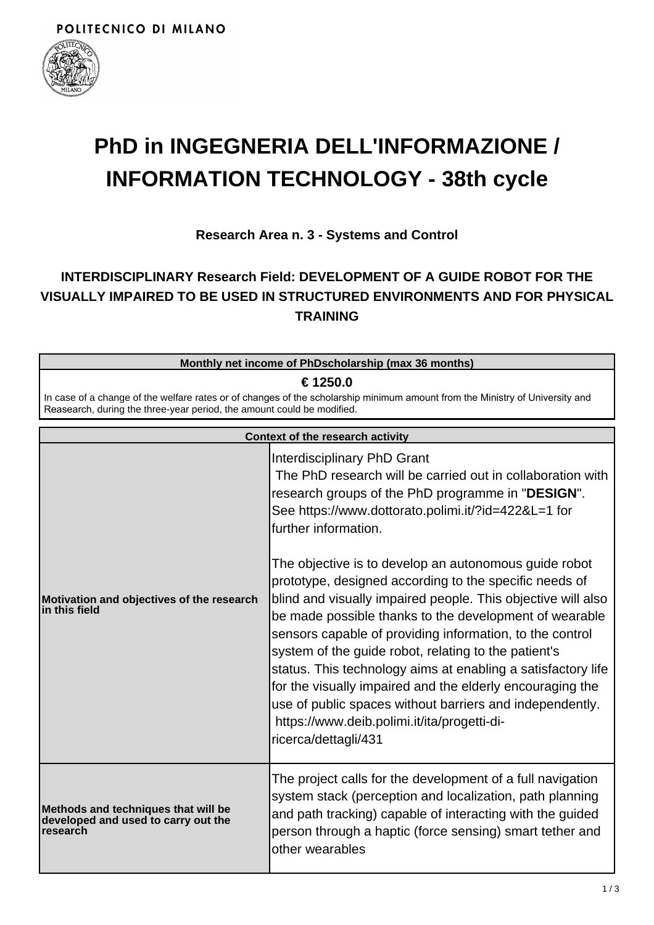

## **PhD in INGEGNERIA DELL'INFORMAZIONE / INFORMATION TECHNOLOGY - 38th cycle**

**Research Area n. 3 - Systems and Control**

## **INTERDISCIPLINARY Research Field: DEVELOPMENT OF A GUIDE ROBOT FOR THE VISUALLY IMPAIRED TO BE USED IN STRUCTURED ENVIRONMENTS AND FOR PHYSICAL TRAINING**

| Monthly net income of PhDscholarship (max 36 months)                                                                                                                                                   |  |  |
|--------------------------------------------------------------------------------------------------------------------------------------------------------------------------------------------------------|--|--|
| € 1250.0                                                                                                                                                                                               |  |  |
| In case of a change of the welfare rates or of changes of the scholarship minimum amount from the Ministry of University and<br>Reasearch, during the three-year period, the amount could be modified. |  |  |
| Context of the research activity                                                                                                                                                                       |  |  |

| Context of the research activity                                                              |                                                                                                                                                                                                                                                                                                                                                                                                                                                                                                                                                                                                                               |  |
|-----------------------------------------------------------------------------------------------|-------------------------------------------------------------------------------------------------------------------------------------------------------------------------------------------------------------------------------------------------------------------------------------------------------------------------------------------------------------------------------------------------------------------------------------------------------------------------------------------------------------------------------------------------------------------------------------------------------------------------------|--|
| Motivation and objectives of the research<br>lin this field                                   | Interdisciplinary PhD Grant<br>The PhD research will be carried out in collaboration with<br>research groups of the PhD programme in "DESIGN".<br>See https://www.dottorato.polimi.it/?id=422&L=1 for<br>further information.                                                                                                                                                                                                                                                                                                                                                                                                 |  |
|                                                                                               | The objective is to develop an autonomous guide robot<br>prototype, designed according to the specific needs of<br>blind and visually impaired people. This objective will also<br>be made possible thanks to the development of wearable<br>sensors capable of providing information, to the control<br>system of the guide robot, relating to the patient's<br>status. This technology aims at enabling a satisfactory life<br>for the visually impaired and the elderly encouraging the<br>use of public spaces without barriers and independently.<br>https://www.deib.polimi.it/ita/progetti-di-<br>ricerca/dettagli/431 |  |
| Methods and techniques that will be<br>developed and used to carry out the<br><b>research</b> | The project calls for the development of a full navigation<br>system stack (perception and localization, path planning<br>and path tracking) capable of interacting with the guided<br>person through a haptic (force sensing) smart tether and<br>other wearables                                                                                                                                                                                                                                                                                                                                                            |  |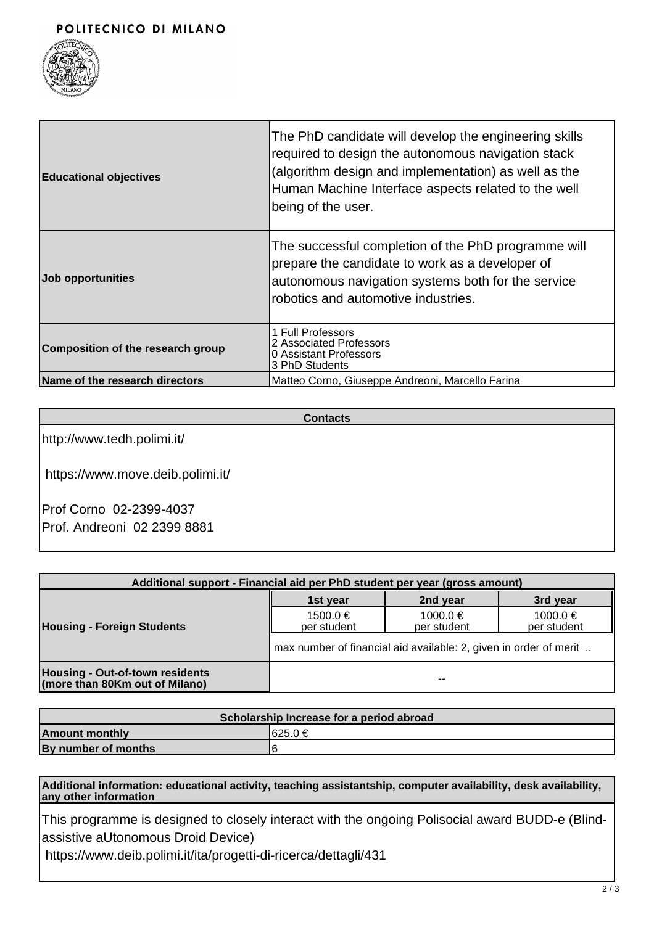

| <b>Educational objectives</b>            | The PhD candidate will develop the engineering skills<br>required to design the autonomous navigation stack<br>(algorithm design and implementation) as well as the<br>Human Machine Interface aspects related to the well<br>being of the user. |
|------------------------------------------|--------------------------------------------------------------------------------------------------------------------------------------------------------------------------------------------------------------------------------------------------|
| Job opportunities                        | The successful completion of the PhD programme will<br>prepare the candidate to work as a developer of<br>autonomous navigation systems both for the service<br>robotics and automotive industries.                                              |
| <b>Composition of the research group</b> | 1 Full Professors<br>2 Associated Professors<br>0 Assistant Professors<br>3 PhD Students                                                                                                                                                         |
| Name of the research directors           | Matteo Corno, Giuseppe Andreoni, Marcello Farina                                                                                                                                                                                                 |

**Contacts**

http://www.tedh.polimi.it/

https://www.move.deib.polimi.it/

Prof Corno 02-2399-4037 Prof. Andreoni 02 2399 8881

| Additional support - Financial aid per PhD student per year (gross amount) |                                                                   |                         |                         |  |
|----------------------------------------------------------------------------|-------------------------------------------------------------------|-------------------------|-------------------------|--|
| <b>Housing - Foreign Students</b>                                          | 1st year                                                          | 2nd year                | 3rd year                |  |
|                                                                            | $1500.0 \in$<br>per student                                       | 1000.0 €<br>per student | 1000.0 €<br>per student |  |
|                                                                            | max number of financial aid available: 2, given in order of merit |                         |                         |  |
| Housing - Out-of-town residents<br>(more than 80Km out of Milano)          |                                                                   | $- -$                   |                         |  |

| Scholarship Increase for a period abroad |          |  |  |
|------------------------------------------|----------|--|--|
| <b>Amount monthly</b>                    | I625.0 € |  |  |
| By number of months                      | ۱۴       |  |  |

**Additional information: educational activity, teaching assistantship, computer availability, desk availability, any other information**

This programme is designed to closely interact with the ongoing Polisocial award BUDD-e (Blindassistive aUtonomous Droid Device)

https://www.deib.polimi.it/ita/progetti-di-ricerca/dettagli/431